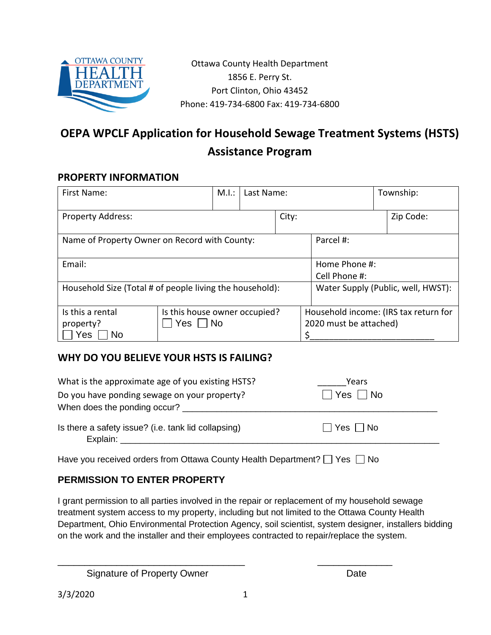

Ottawa County Health Department 1856 E. Perry St. Port Clinton, Ohio 43452 Phone: 419-734-6800 Fax: 419-734-6800

# **OEPA WPCLF Application for Household Sewage Treatment Systems (HSTS) Assistance Program**

## **PROPERTY INFORMATION**

| First Name:                                              |                                                  | M.I.: | Last Name:                                                      |                                    |  | Township: |           |
|----------------------------------------------------------|--------------------------------------------------|-------|-----------------------------------------------------------------|------------------------------------|--|-----------|-----------|
| <b>Property Address:</b>                                 |                                                  |       | City:                                                           |                                    |  |           | Zip Code: |
| Name of Property Owner on Record with County:            |                                                  |       |                                                                 | Parcel #:                          |  |           |           |
| Email:                                                   |                                                  |       |                                                                 | Home Phone #:<br>Cell Phone #:     |  |           |           |
| Household Size (Total # of people living the household): |                                                  |       |                                                                 | Water Supply (Public, well, HWST): |  |           |           |
| Is this a rental<br>property?<br>Yes<br><b>No</b>        | Is this house owner occupied?<br>Yes $ $<br>  No |       | Household income: (IRS tax return for<br>2020 must be attached) |                                    |  |           |           |

#### **WHY DO YOU BELIEVE YOUR HSTS IS FAILING?**

| What is the approximate age of you existing HSTS?                                                                                                                                                                                                                                     | Years        |
|---------------------------------------------------------------------------------------------------------------------------------------------------------------------------------------------------------------------------------------------------------------------------------------|--------------|
| Do you have ponding sewage on your property?                                                                                                                                                                                                                                          | Yes     No   |
| When does the ponding occur?                                                                                                                                                                                                                                                          |              |
| Is there a safety issue? (i.e. tank lid collapsing)<br>Explain: Explain and the state of the state of the state of the state of the state of the state of the state of the state of the state of the state of the state of the state of the state of the state of the state of the st | I Yes   I No |

Have you received orders from Ottawa County Health Department?  $\Box$  Yes  $\Box$  No

# **PERMISSION TO ENTER PROPERTY**

I grant permission to all parties involved in the repair or replacement of my household sewage treatment system access to my property, including but not limited to the Ottawa County Health Department, Ohio Environmental Protection Agency, soil scientist, system designer, installers bidding on the work and the installer and their employees contracted to repair/replace the system.

Signature of Property Owner **Date** 

\_\_\_\_\_\_\_\_\_\_\_\_\_\_\_\_\_\_\_\_\_\_\_\_\_\_\_\_\_\_\_\_\_\_\_ \_\_\_\_\_\_\_\_\_\_\_\_\_\_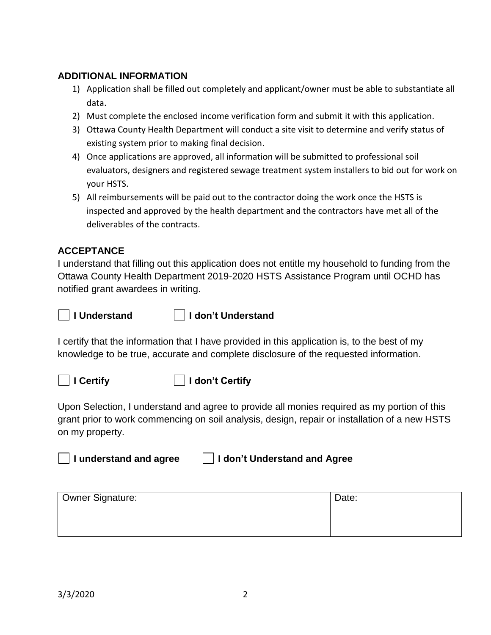#### **ADDITIONAL INFORMATION**

- 1) Application shall be filled out completely and applicant/owner must be able to substantiate all data.
- 2) Must complete the enclosed income verification form and submit it with this application.
- 3) Ottawa County Health Department will conduct a site visit to determine and verify status of existing system prior to making final decision.
- 4) Once applications are approved, all information will be submitted to professional soil evaluators, designers and registered sewage treatment system installers to bid out for work on your HSTS.
- 5) All reimbursements will be paid out to the contractor doing the work once the HSTS is inspected and approved by the health department and the contractors have met all of the deliverables of the contracts.

## **ACCEPTANCE**

I understand that filling out this application does not entitle my household to funding from the Ottawa County Health Department 2019-2020 HSTS Assistance Program until OCHD has notified grant awardees in writing.



#### **I Understand I don't Understand**

I certify that the information that I have provided in this application is, to the best of my knowledge to be true, accurate and complete disclosure of the requested information.





Upon Selection, I understand and agree to provide all monies required as my portion of this grant prior to work commencing on soil analysis, design, repair or installation of a new HSTS on my property.



| Owner Signature: | Date: |
|------------------|-------|
|                  |       |
|                  |       |